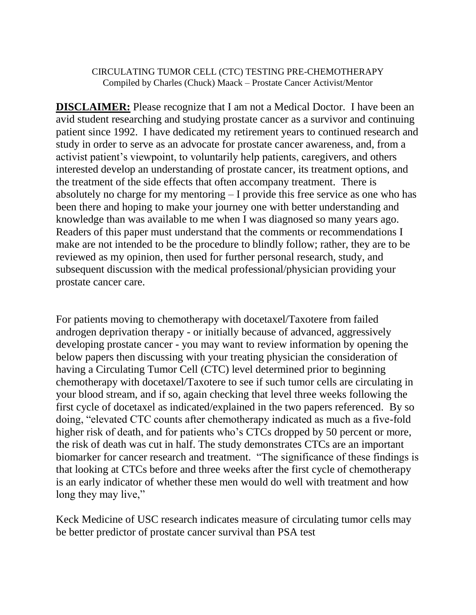## CIRCULATING TUMOR CELL (CTC) TESTING PRE-CHEMOTHERAPY Compiled by Charles (Chuck) Maack – Prostate Cancer Activist/Mentor

**DISCLAIMER:** Please recognize that I am not a Medical Doctor. I have been an avid student researching and studying prostate cancer as a survivor and continuing patient since 1992. I have dedicated my retirement years to continued research and study in order to serve as an advocate for prostate cancer awareness, and, from a activist patient's viewpoint, to voluntarily help patients, caregivers, and others interested develop an understanding of prostate cancer, its treatment options, and the treatment of the side effects that often accompany treatment. There is absolutely no charge for my mentoring – I provide this free service as one who has been there and hoping to make your journey one with better understanding and knowledge than was available to me when I was diagnosed so many years ago. Readers of this paper must understand that the comments or recommendations I make are not intended to be the procedure to blindly follow; rather, they are to be reviewed as my opinion, then used for further personal research, study, and subsequent discussion with the medical professional/physician providing your prostate cancer care.

For patients moving to chemotherapy with docetaxel/Taxotere from failed androgen deprivation therapy - or initially because of advanced, aggressively developing prostate cancer - you may want to review information by opening the below papers then discussing with your treating physician the consideration of having a Circulating Tumor Cell (CTC) level determined prior to beginning chemotherapy with docetaxel/Taxotere to see if such tumor cells are circulating in your blood stream, and if so, again checking that level three weeks following the first cycle of docetaxel as indicated/explained in the two papers referenced. By so doing, "elevated CTC counts after chemotherapy indicated as much as a five-fold higher risk of death, and for patients who's CTCs dropped by 50 percent or more, the risk of death was cut in half. The study demonstrates CTCs are an important biomarker for cancer research and treatment. "The significance of these findings is that looking at CTCs before and three weeks after the first cycle of chemotherapy is an early indicator of whether these men would do well with treatment and how long they may live,"

Keck Medicine of USC research indicates measure of circulating tumor cells may be better predictor of prostate cancer survival than PSA test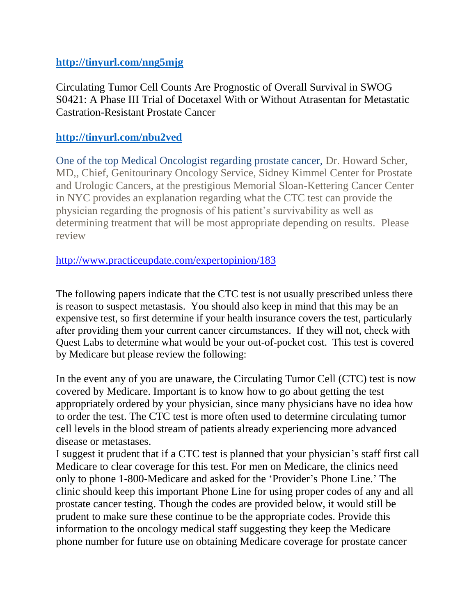## **<http://tinyurl.com/nng5mjg>**

Circulating Tumor Cell Counts Are Prognostic of Overall Survival in SWOG S0421: A Phase III Trial of Docetaxel With or Without Atrasentan for Metastatic Castration-Resistant Prostate Cancer

## **<http://tinyurl.com/nbu2ved>**

One of the top Medical Oncologist regarding prostate cancer, Dr. Howard Scher, MD,, Chief, Genitourinary Oncology Service, Sidney Kimmel Center for Prostate and Urologic Cancers, at the prestigious Memorial Sloan-Kettering Cancer Center in NYC provides an explanation regarding what the CTC test can provide the physician regarding the prognosis of his patient's survivability as well as determining treatment that will be most appropriate depending on results. Please review

<http://www.practiceupdate.com/expertopinion/183>

The following papers indicate that the CTC test is not usually prescribed unless there is reason to suspect metastasis. You should also keep in mind that this may be an expensive test, so first determine if your health insurance covers the test, particularly after providing them your current cancer circumstances. If they will not, check with Quest Labs to determine what would be your out-of-pocket cost. This test is covered by Medicare but please review the following:

In the event any of you are unaware, the Circulating Tumor Cell (CTC) test is now covered by Medicare. Important is to know how to go about getting the test appropriately ordered by your physician, since many physicians have no idea how to order the test. The CTC test is more often used to determine circulating tumor cell levels in the blood stream of patients already experiencing more advanced disease or metastases.

I suggest it prudent that if a CTC test is planned that your physician's staff first call Medicare to clear coverage for this test. For men on Medicare, the clinics need only to phone 1-800-Medicare and asked for the 'Provider's Phone Line.' The clinic should keep this important Phone Line for using proper codes of any and all prostate cancer testing. Though the codes are provided below, it would still be prudent to make sure these continue to be the appropriate codes. Provide this information to the oncology medical staff suggesting they keep the Medicare phone number for future use on obtaining Medicare coverage for prostate cancer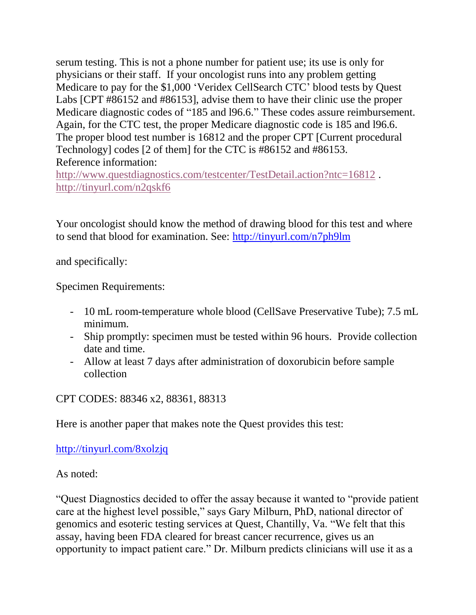serum testing. This is not a phone number for patient use; its use is only for physicians or their staff. If your oncologist runs into any problem getting Medicare to pay for the \$1,000 'Veridex CellSearch CTC' blood tests by Quest Labs [CPT #86152 and #86153], advise them to have their clinic use the proper Medicare diagnostic codes of "185 and l96.6." These codes assure reimbursement. Again, for the CTC test, the proper Medicare diagnostic code is 185 and l96.6. The proper blood test number is 16812 and the proper CPT [Current procedural Technology] codes [2 of them] for the CTC is #86152 and #86153. Reference information:

<http://www.questdiagnostics.com/testcenter/TestDetail.action?ntc=16812>. <http://tinyurl.com/n2qskf6>

Your oncologist should know the method of drawing blood for this test and where to send that blood for examination. See: <http://tinyurl.com/n7ph9lm>

and specifically:

Specimen Requirements:

- 10 mL room-temperature whole blood (CellSave Preservative Tube); 7.5 mL minimum.
- Ship promptly: specimen must be tested within 96 hours. Provide collection date and time.
- Allow at least 7 days after administration of doxorubicin before sample collection

CPT CODES: 88346 x2, 88361, 88313

Here is another paper that makes note the Quest provides this test:

<http://tinyurl.com/8xolzjq>

As noted:

"Quest Diagnostics decided to offer the assay because it wanted to "provide patient care at the highest level possible," says Gary Milburn, PhD, national director of genomics and esoteric testing services at Quest, Chantilly, Va. "We felt that this assay, having been FDA cleared for breast cancer recurrence, gives us an opportunity to impact patient care." Dr. Milburn predicts clinicians will use it as a